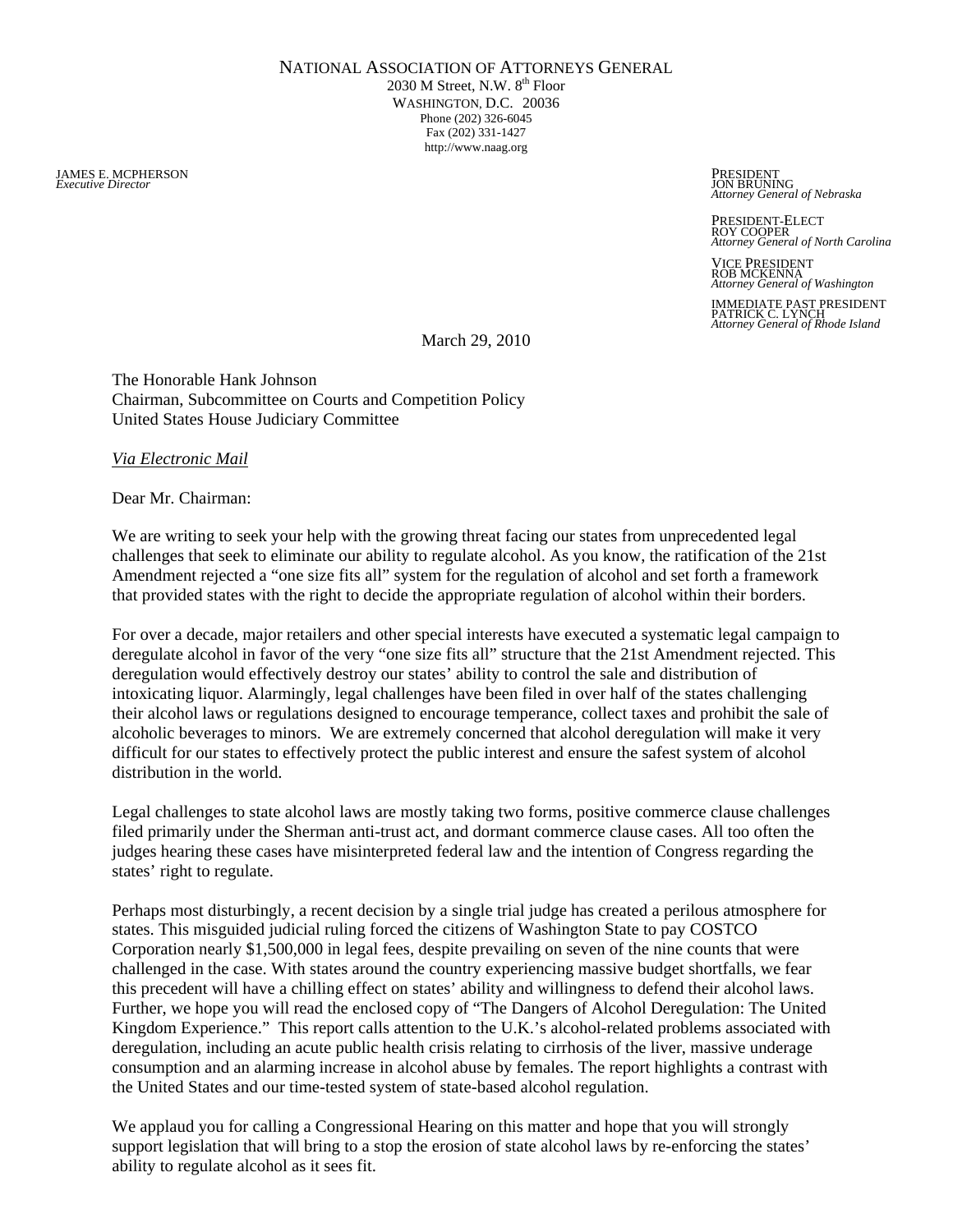2030 M Street, N.W. 8<sup>th</sup> Floor WASHINGTON, D.C. 20036 Phone (202) 326-6045 Fax (202) 331-1427 http://www.naag.org

JAMES E. MCPHERSON PRESIDENT (PRESIDENT Executive Director President President President President President P<br>Executive Director

*Executive Director* JON BRUNING *Attorney General of Nebraska*

PRESIDENT-ELECT ROY COOPER *Attorney General of North Carolina* 

VICE PRESIDENT ROB MCKENNA *Attorney General of Washington*

IMMEDIATE PAST PRESIDENT PATRICK C. LYNCH *Attorney General of Rhode Island* 

March 29, 2010

The Honorable Hank Johnson Chairman, Subcommittee on Courts and Competition Policy United States House Judiciary Committee

*Via Electronic Mail* 

Dear Mr. Chairman:

We are writing to seek your help with the growing threat facing our states from unprecedented legal challenges that seek to eliminate our ability to regulate alcohol. As you know, the ratification of the 21st Amendment rejected a "one size fits all" system for the regulation of alcohol and set forth a framework that provided states with the right to decide the appropriate regulation of alcohol within their borders.

For over a decade, major retailers and other special interests have executed a systematic legal campaign to deregulate alcohol in favor of the very "one size fits all" structure that the 21st Amendment rejected. This deregulation would effectively destroy our states' ability to control the sale and distribution of intoxicating liquor. Alarmingly, legal challenges have been filed in over half of the states challenging their alcohol laws or regulations designed to encourage temperance, collect taxes and prohibit the sale of alcoholic beverages to minors. We are extremely concerned that alcohol deregulation will make it very difficult for our states to effectively protect the public interest and ensure the safest system of alcohol distribution in the world.

Legal challenges to state alcohol laws are mostly taking two forms, positive commerce clause challenges filed primarily under the Sherman anti-trust act, and dormant commerce clause cases. All too often the judges hearing these cases have misinterpreted federal law and the intention of Congress regarding the states' right to regulate.

Perhaps most disturbingly, a recent decision by a single trial judge has created a perilous atmosphere for states. This misguided judicial ruling forced the citizens of Washington State to pay COSTCO Corporation nearly \$1,500,000 in legal fees, despite prevailing on seven of the nine counts that were challenged in the case. With states around the country experiencing massive budget shortfalls, we fear this precedent will have a chilling effect on states' ability and willingness to defend their alcohol laws. Further, we hope you will read the enclosed copy of "The Dangers of Alcohol Deregulation: The United Kingdom Experience." This report calls attention to the U.K.'s alcohol-related problems associated with deregulation, including an acute public health crisis relating to cirrhosis of the liver, massive underage consumption and an alarming increase in alcohol abuse by females. The report highlights a contrast with the United States and our time-tested system of state-based alcohol regulation.

We applaud you for calling a Congressional Hearing on this matter and hope that you will strongly support legislation that will bring to a stop the erosion of state alcohol laws by re-enforcing the states' ability to regulate alcohol as it sees fit.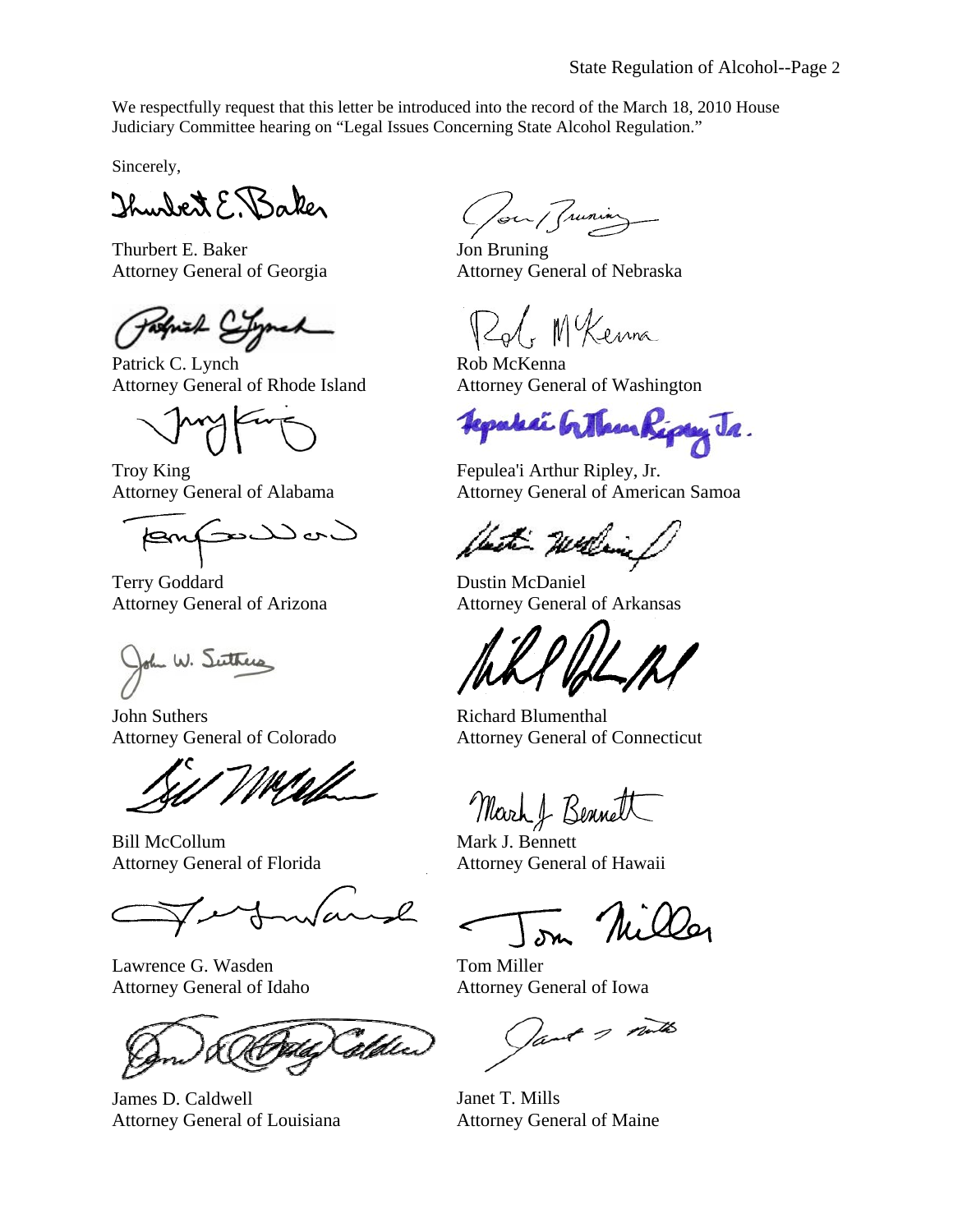We respectfully request that this letter be introduced into the record of the March 18, 2010 House Judiciary Committee hearing on "Legal Issues Concerning State Alcohol Regulation."

Sincerely,

Thurbert E. Baker

 Thurbert E. Baker Attorney General of Georgia

*<i>Patrick* C<br>Patrick C. Lynch

Attorney General of Rhode Island

Troy King Attorney General of Alabama

ن ما لمدىك

Terry Goddard Attorney General of Arizona

John W. Suthers

John Suthers Attorney General of Colorado

 Bill McCollum Attorney General of Florida

Lawrence G. Wasden Attorney General of Idaho

áldies

James D. Caldwell Attorney General of Louisiana

(fou Munia)

Jon Bruning Attorney General of Nebraska

Rol, Mkenna

Rob McKenna Attorney General of Washington

Fepakai Githan Ripay Ja.

Fepulea'i Arthur Ripley, Jr. Attorney General of American Samoa

last mile

Dustin McDaniel Attorney General of Arkansas

Richard Blumenthal Attorney General of Connecticut

March & Bennett

Mark J. Bennett Attorney General of Hawaii

Mill

Tom Miller Attorney General of Iowa

Jant 2 miles

Janet T. Mills Attorney General of Maine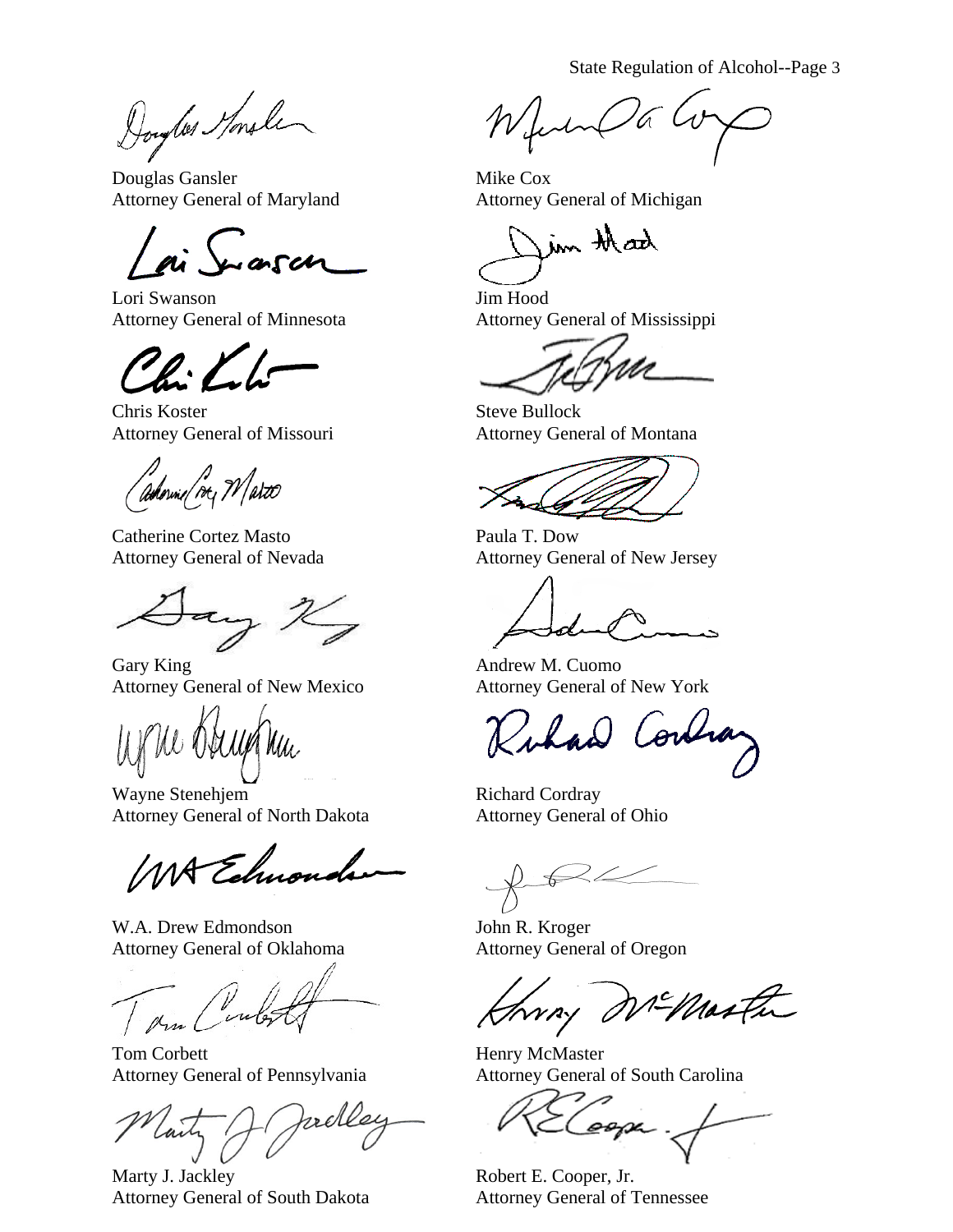State Regulation of Alcohol--Page 3

Dougles Monsler

Douglas Gansler Attorney General of Maryland

 $-arcon$ 

 Lori Swanson Attorney General of Minnesota

Chris Koster Attorney General of Missouri

adornia/vez V / atxo

Catherine Cortez Masto Attorney General of Nevada

any /

Gary King Attorney General of New Mexico

 Wayne Stenehjem Attorney General of North Dakota

Echnona 11A

 W.A. Drew Edmondson Attorney General of Oklahoma

Tom Corbett Attorney General of Pennsylvania

melley

 Marty J. Jackley Attorney General of South Dakota

Mike Cox Attorney General of Michigan

im that

 Jim Hood Attorney General of Mississippi

Steve Bullock Attorney General of Montana

Paula T. Dow Attorney General of New Jersey

Andrew M. Cuomo Attorney General of New York

Richard Cordray Attorney General of Ohio

 John R. Kroger Attorney General of Oregon

-Mastin

Henry McMaster Attorney General of South Carolina

Robert E. Cooper, Jr. Attorney General of Tennessee